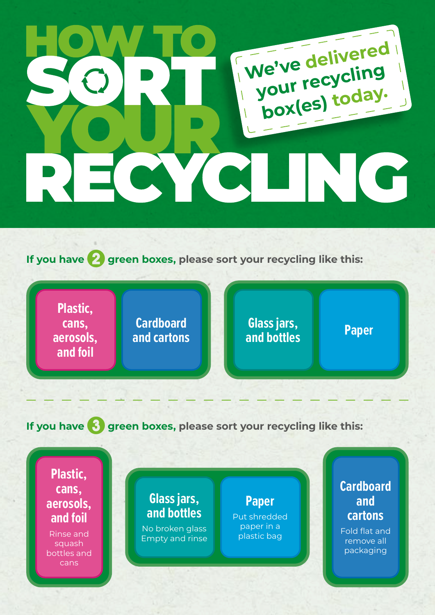## **We've delivered your recycling box(es) today.**M

**If you have** 2 **green boxes, please sort your recycling like this:**

**Plastic, cans, aerosols, and foil**

**Cardboard and cartons**

**Glass jars, and bottles Paper**

**If you have 3** green boxes, please sort your recycling like this:

**Plastic, cans, aerosols, and foil**

Rinse and squash bottles and cans

## **Glass jars, and bottles**

No broken glass Empty and rinse

**Paper** Put shredded paper in a plastic bag

## **Cardboard and cartons**

Fold flat and remove all packaging